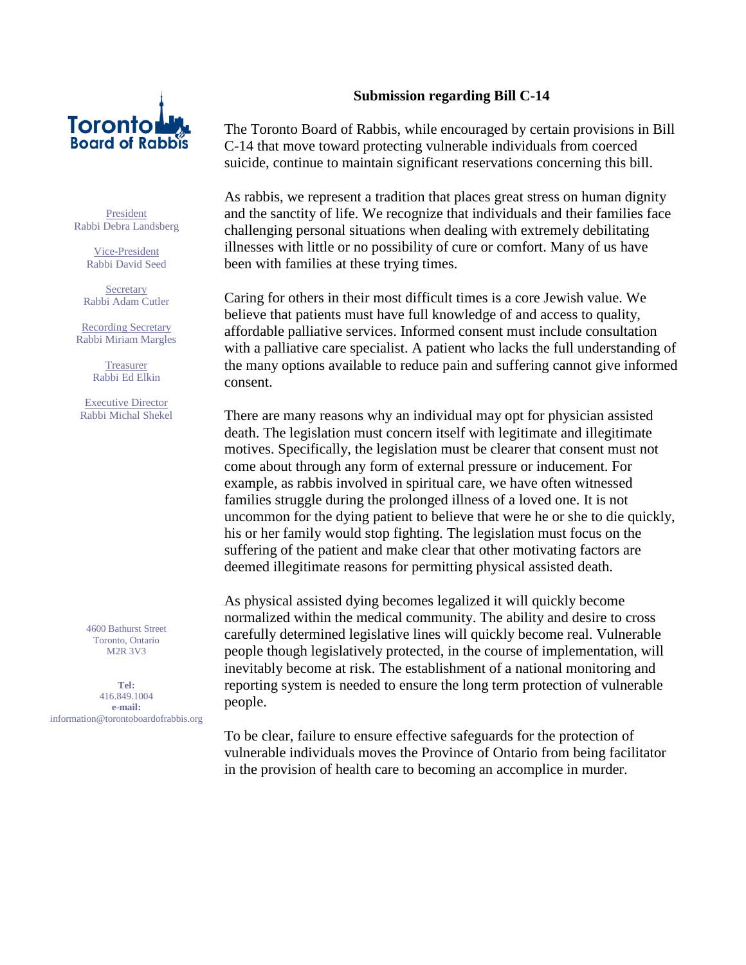

President Rabbi Debra Landsberg

> Vice-President Rabbi David Seed

**Secretary** Rabbi Adam Cutler

Recording Secretary Rabbi Miriam Margles

> **Treasurer** Rabbi Ed Elkin

Executive Director Rabbi Michal Shekel

4600 Bathurst Street Toronto, Ontario M2R 3V3

**Tel:** 416.849.1004 **e-mail:** information@torontoboardofrabbis.org

## **Submission regarding Bill C-14**

The Toronto Board of Rabbis, while encouraged by certain provisions in Bill C-14 that move toward protecting vulnerable individuals from coerced suicide, continue to maintain significant reservations concerning this bill.

As rabbis, we represent a tradition that places great stress on human dignity and the sanctity of life. We recognize that individuals and their families face challenging personal situations when dealing with extremely debilitating illnesses with little or no possibility of cure or comfort. Many of us have been with families at these trying times.

Caring for others in their most difficult times is a core Jewish value. We believe that patients must have full knowledge of and access to quality, affordable palliative services. Informed consent must include consultation with a palliative care specialist. A patient who lacks the full understanding of the many options available to reduce pain and suffering cannot give informed consent.

There are many reasons why an individual may opt for physician assisted death. The legislation must concern itself with legitimate and illegitimate motives. Specifically, the legislation must be clearer that consent must not come about through any form of external pressure or inducement. For example, as rabbis involved in spiritual care, we have often witnessed families struggle during the prolonged illness of a loved one. It is not uncommon for the dying patient to believe that were he or she to die quickly, his or her family would stop fighting. The legislation must focus on the suffering of the patient and make clear that other motivating factors are deemed illegitimate reasons for permitting physical assisted death.

As physical assisted dying becomes legalized it will quickly become normalized within the medical community. The ability and desire to cross carefully determined legislative lines will quickly become real. Vulnerable people though legislatively protected, in the course of implementation, will inevitably become at risk. The establishment of a national monitoring and reporting system is needed to ensure the long term protection of vulnerable people.

To be clear, failure to ensure effective safeguards for the protection of vulnerable individuals moves the Province of Ontario from being facilitator in the provision of health care to becoming an accomplice in murder.